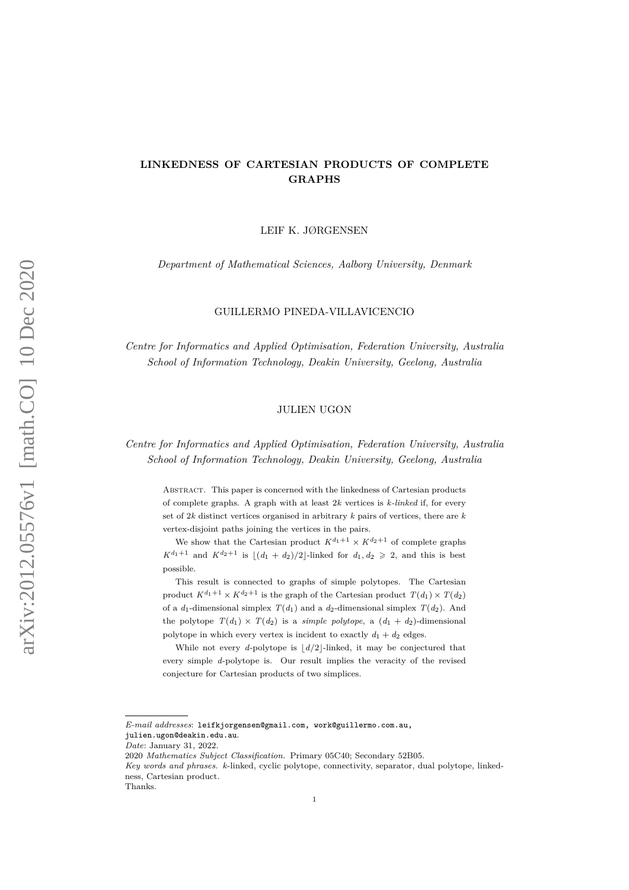# **LINKEDNESS OF CARTESIAN PRODUCTS OF COMPLETE GRAPHS**

LEIF K. JØRGENSEN

*Department of Mathematical Sciences, Aalborg University, Denmark*

GUILLERMO PINEDA-VILLAVICENCIO

*Centre for Informatics and Applied Optimisation, Federation University, Australia School of Information Technology, Deakin University, Geelong, Australia*

## JULIEN UGON

*Centre for Informatics and Applied Optimisation, Federation University, Australia School of Information Technology, Deakin University, Geelong, Australia*

Abstract. This paper is concerned with the linkedness of Cartesian products of complete graphs. A graph with at least 2*k* vertices is *k-linked* if, for every set of 2*k* distinct vertices organised in arbitrary *k* pairs of vertices, there are *k* vertex-disjoint paths joining the vertices in the pairs.

We show that the Cartesian product  $K^{d_1+1} \times K^{d_2+1}$  of complete graphs  $K^{d_1+1}$  and  $K^{d_2+1}$  is  $|(d_1 + d_2)/2|$ -linked for  $d_1, d_2 \ge 2$ , and this is best possible.

This result is connected to graphs of simple polytopes. The Cartesian product  $K^{d_1+1} \times K^{d_2+1}$  is the graph of the Cartesian product  $T(d_1) \times T(d_2)$ of a  $d_1$ -dimensional simplex  $T(d_1)$  and a  $d_2$ -dimensional simplex  $T(d_2)$ . And the polytope  $T(d_1) \times T(d_2)$  is a *simple polytope*, a  $(d_1 + d_2)$ -dimensional polytope in which every vertex is incident to exactly  $d_1 + d_2$  edges.

While not every *d*-polytope is  $\lfloor d/2 \rfloor$ -linked, it may be conjectured that every simple *d*-polytope is. Our result implies the veracity of the revised conjecture for Cartesian products of two simplices.

*E-mail addresses*: leifkjorgensen@gmail.com, work@guillermo.com.au,

julien.ugon@deakin.edu.au. *Date*: January 31, 2022.

<sup>2020</sup> *Mathematics Subject Classification.* Primary 05C40; Secondary 52B05.

*Key words and phrases. k*-linked, cyclic polytope, connectivity, separator, dual polytope, linkedness, Cartesian product.

Thanks.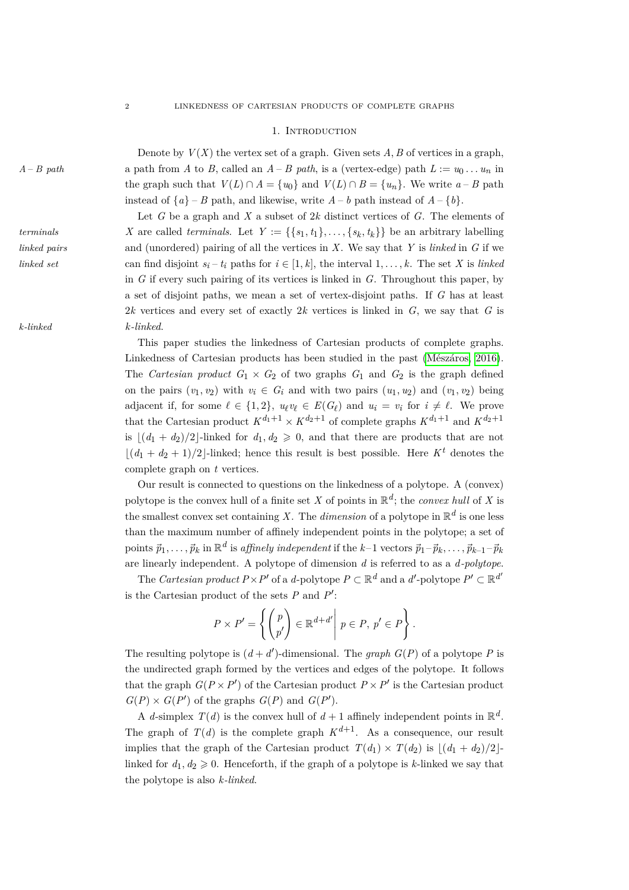#### 1. INTRODUCTION

Denote by  $V(X)$  the vertex set of a graph. Given sets  $A, B$  of vertices in a graph, *A* – *B* path  $A - B$  path from *A* to *B*, called an  $A - B$  path, is a (vertex-edge) path  $L := u_0 \dots u_n$  in the graph such that  $V(L) \cap A = \{u_0\}$  and  $V(L) \cap B = \{u_n\}$ . We write  $a - B$  path instead of  $\{a\}$  – *B* path, and likewise, write  $A - b$  path instead of  $A - \{b\}$ .

Let *G* be a graph and *X* a subset of 2*k* distinct vertices of *G*. The elements of *X* are called *terminals*. Let  $Y := \{\{s_1, t_1\}, \ldots, \{s_k, t_k\}\}\)$  be an arbitrary labelling *linked pairs* and (unordered) pairing of all the vertices in *X*. We say that *Y* is *linked* in *G* if we *linked set* can find disjoint  $s_i - t_i$  paths for  $i \in [1, k]$ , the interval  $1, \ldots, k$ . The set *X* is *linked* in *G* if every such pairing of its vertices is linked in *G*. Throughout this paper, by a set of disjoint paths, we mean a set of vertex-disjoint paths. If *G* has at least 2*k* vertices and every set of exactly 2*k* vertices is linked in *G*, we say that *G* is *k-linked k-linked*.

> This paper studies the linkedness of Cartesian products of complete graphs. Linkedness of Cartesian products has been studied in the past (Mészáros, 2016). The *Cartesian product*  $G_1 \times G_2$  of two graphs  $G_1$  and  $G_2$  is the graph defined on the pairs  $(v_1, v_2)$  with  $v_i \in G_i$  and with two pairs  $(u_1, u_2)$  and  $(v_1, v_2)$  being adjacent if, for some  $\ell \in \{1, 2\}$ ,  $u_{\ell}v_{\ell} \in E(G_{\ell})$  and  $u_i = v_i$  for  $i \neq \ell$ . We prove that the Cartesian product  $K^{d_1+1} \times K^{d_2+1}$  of complete graphs  $K^{d_1+1}$  and  $K^{d_2+1}$ is  $\left| \frac{d_1 + d_2}{2} \right|$ -linked for  $d_1, d_2 \geq 0$ , and that there are products that are not  $\lfloor (d_1 + d_2 + 1)/2 \rfloor$ -linked; hence this result is best possible. Here  $K^t$  denotes the complete graph on *t* vertices.

> Our result is connected to questions on the linkedness of a polytope. A (convex) polytope is the convex hull of a finite set *X* of points in  $\mathbb{R}^d$ ; the *convex hull* of *X* is the smallest convex set containing X. The *dimension* of a polytope in  $\mathbb{R}^d$  is one less than the maximum number of affinely independent points in the polytope; a set of points  $\vec{p}_1,\ldots,\vec{p}_k$  in  $\mathbb{R}^d$  is *affinely independent* if the  $k-1$  vectors  $\vec{p}_1-\vec{p}_k,\ldots,\vec{p}_{k-1}-\vec{p}_k$ are linearly independent. A polytope of dimension *d* is referred to as a *d-polytope*.

> The *Cartesian product*  $P \times P'$  of a *d*-polytope  $P \subset \mathbb{R}^d$  and a *d'*-polytope  $P' \subset \mathbb{R}^{d'}$ is the Cartesian product of the sets  $P$  and  $P'$ :

$$
P \times P' = \left\{ \begin{pmatrix} p \\ p' \end{pmatrix} \in \mathbb{R}^{d+d'} \middle| p \in P, p' \in P \right\}.
$$

The resulting polytope is  $(d + d')$ -dimensional. The *graph*  $G(P)$  of a polytope P is the undirected graph formed by the vertices and edges of the polytope. It follows that the graph  $G(P \times P')$  of the Cartesian product  $P \times P'$  is the Cartesian product  $G(P) \times G(P')$  of the graphs  $G(P)$  and  $G(P')$ .

A *d*-simplex  $T(d)$  is the convex hull of  $d+1$  affinely independent points in  $\mathbb{R}^d$ . The graph of  $T(d)$  is the complete graph  $K^{d+1}$ . As a consequence, our result implies that the graph of the Cartesian product  $T(d_1) \times T(d_2)$  is  $|(d_1 + d_2)/2|$ linked for  $d_1, d_2 \geq 0$ . Henceforth, if the graph of a polytope is *k*-linked we say that the polytope is also *k-linked*.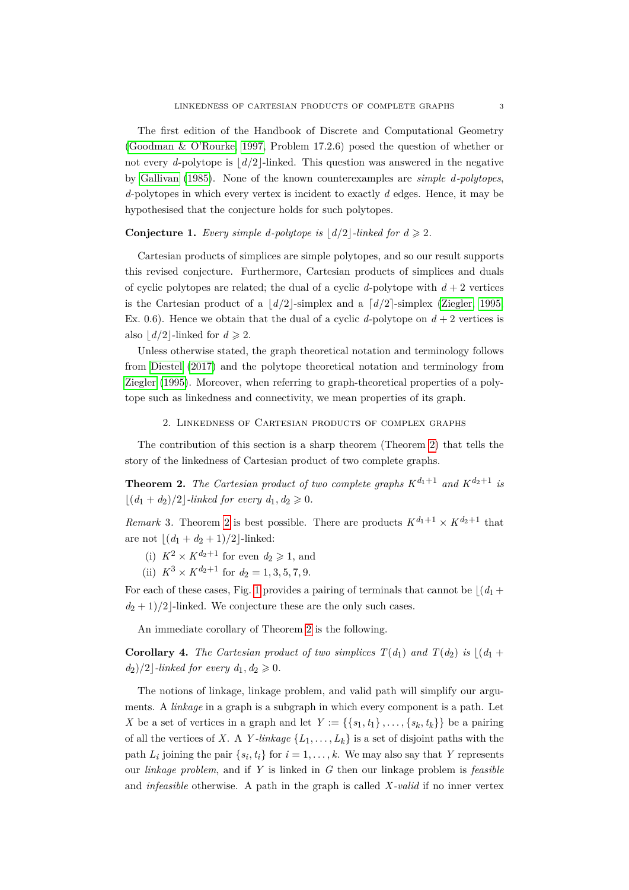The first edition of the Handbook of Discrete and Computational Geometry [\(Goodman & O'Rourke, 1997,](#page-10-1) Problem 17.2.6) posed the question of whether or not every *d*-polytope is  $\lfloor d/2 \rfloor$ -linked. This question was answered in the negative by [Gallivan](#page-9-0) [\(1985\)](#page-9-0). None of the known counterexamples are *simple d-polytopes*, *d*-polytopes in which every vertex is incident to exactly *d* edges. Hence, it may be hypothesised that the conjecture holds for such polytopes.

## **Conjecture 1.** *Every simple d-polytope is*  $\lfloor d/2 \rfloor$ *-linked for*  $d \geq 2$ *.*

Cartesian products of simplices are simple polytopes, and so our result supports this revised conjecture. Furthermore, Cartesian products of simplices and duals of cyclic polytopes are related; the dual of a cyclic *d*-polytope with  $d + 2$  vertices is the Cartesian product of a  $\lfloor d/2 \rfloor$ -simplex and a  $\lfloor d/2 \rfloor$ -simplex [\(Ziegler, 1995,](#page-10-2) Ex. 0.6). Hence we obtain that the dual of a cyclic *d*-polytope on  $d + 2$  vertices is also  $\vert d/2 \vert$ -linked for  $d \geqslant 2$ .

Unless otherwise stated, the graph theoretical notation and terminology follows from [Diestel](#page-9-1) [\(2017\)](#page-9-1) and the polytope theoretical notation and terminology from [Ziegler](#page-10-2) [\(1995\)](#page-10-2). Moreover, when referring to graph-theoretical properties of a polytope such as linkedness and connectivity, we mean properties of its graph.

#### 2. Linkedness of Cartesian products of complex graphs

The contribution of this section is a sharp theorem (Theorem [2\)](#page-2-0) that tells the story of the linkedness of Cartesian product of two complete graphs.

<span id="page-2-0"></span>**Theorem 2.** *The Cartesian product of two complete graphs*  $K^{d_1+1}$  *and*  $K^{d_2+1}$  *is*  $\lfloor (d_1 + d_2)/2 \rfloor$ *-linked for every d*<sub>1</sub>, *d*<sub>2</sub>  $\geq$  0*.* 

*Remark* 3. Theorem [2](#page-2-0) is best possible. There are products  $K^{d_1+1} \times K^{d_2+1}$  that are not  $\lfloor (d_1 + d_2 + 1)/2 \rfloor$ -linked:

- (i)  $K^2 \times K^{d_2+1}$  for even  $d_2 \geq 1$ , and
- (ii)  $K^3 \times K^{d_2+1}$  for  $d_2 = 1, 3, 5, 7, 9$ .

For each of these cases, Fig. [1](#page-3-0) provides a pairing of terminals that cannot be  $|(d_1 +$  $d_2 + 1/2$ -linked. We conjecture these are the only such cases.

An immediate corollary of Theorem [2](#page-2-0) is the following.

**Corollary 4.** *The Cartesian product of two simplices*  $T(d_1)$  *and*  $T(d_2)$  *is*  $|(d_1 +$  $d_2$ )/2 *-linked for every*  $d_1, d_2 \geq 0$ .

The notions of linkage, linkage problem, and valid path will simplify our arguments. A *linkage* in a graph is a subgraph in which every component is a path. Let *X* be a set of vertices in a graph and let  $Y := \{\{s_1, t_1\}, \ldots, \{s_k, t_k\}\}\)$  be a pairing of all the vertices of *X*. A *Y*-linkage  $\{L_1, \ldots, L_k\}$  is a set of disjoint paths with the path  $L_i$  joining the pair  $\{s_i, t_i\}$  for  $i = 1, \ldots, k$ . We may also say that *Y* represents our *linkage problem*, and if *Y* is linked in *G* then our linkage problem is *feasible* and *infeasible* otherwise. A path in the graph is called *X -valid* if no inner vertex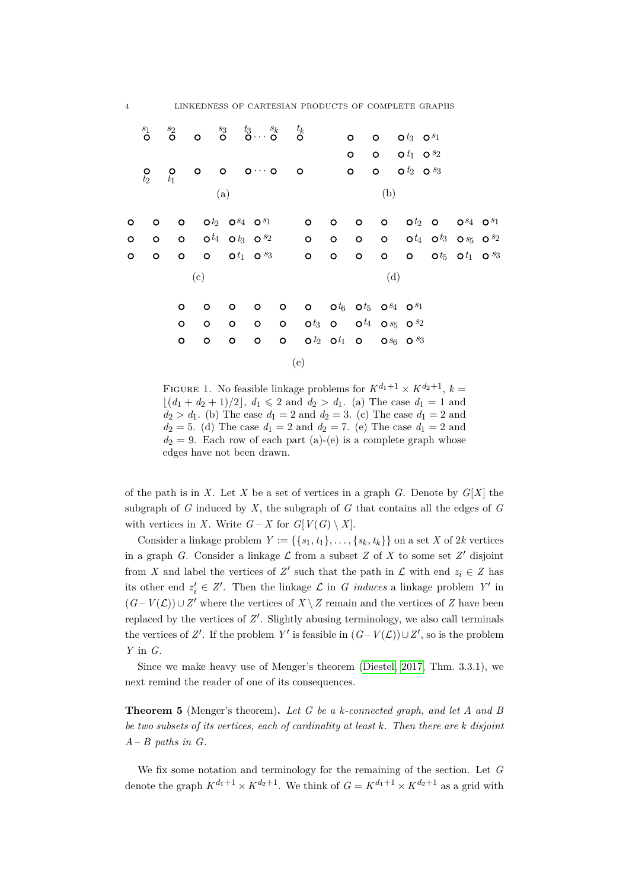|         | $\overset{s_1}{\circ}$   | $\overset{s_2}{\bullet}$               | $\begin{array}{ccccccccc}\n & & s_3 & & t_3 & & s_k & & t_k \\ \textsf{o} & & \textsf{o} & & \textsf{o} & & \textsf{o}\n\end{array}$ |                          |         |     |                                                                                                                                                                                                                                |         |         |     |                         |                                                  |  |  |
|---------|--------------------------|----------------------------------------|--------------------------------------------------------------------------------------------------------------------------------------|--------------------------|---------|-----|--------------------------------------------------------------------------------------------------------------------------------------------------------------------------------------------------------------------------------|---------|---------|-----|-------------------------|--------------------------------------------------|--|--|
|         |                          |                                        |                                                                                                                                      |                          |         |     |                                                                                                                                                                                                                                |         | $\circ$ |     | $0$ $0$ $t_3$ $0$ $s_1$ |                                                  |  |  |
|         |                          |                                        |                                                                                                                                      |                          |         |     |                                                                                                                                                                                                                                |         | $\circ$ |     | $0$ $0$ $t_1$ $0$ $s_2$ |                                                  |  |  |
|         | $\frac{\mathsf{O}}{t_2}$ | $\begin{matrix} 0 \\ t_1 \end{matrix}$ | $\circ$ $\circ$ $\circ$ $\cdots$ $\circ$ $\circ$                                                                                     |                          |         |     |                                                                                                                                                                                                                                |         | $\circ$ |     | $0$ $0^{t_2}$ $0^{s_3}$ |                                                  |  |  |
|         |                          |                                        |                                                                                                                                      | (a)                      |         |     |                                                                                                                                                                                                                                |         |         | (b) |                         |                                                  |  |  |
| O       | $\circ$                  |                                        | $O$ $O^{t_2}$ $O^{s_4}$ $O^{s_1}$ $O$                                                                                                |                          |         |     |                                                                                                                                                                                                                                | $\circ$ |         |     |                         | $0$ 0 $0$ $0^{t_2}$ 0 $0^{s_4}$ $0^{s_1}$        |  |  |
| $\circ$ |                          |                                        | 0 0 0 $\frac{t_4}{t_3}$ 0 $\frac{s_2}{s_2}$ 0 0 0 0 0 $\frac{t_4}{t_3}$ 0 $\frac{s_5}{s_2}$ 0 $\frac{s_2}{s_3}$                      |                          |         |     |                                                                                                                                                                                                                                |         |         |     |                         |                                                  |  |  |
| $\circ$ | $\circ$                  | $\circ$                                |                                                                                                                                      |                          |         |     | $O$ $Ot_1$ $Os_3$ 0                                                                                                                                                                                                            | $\circ$ | $\circ$ |     |                         | <b>0 0 0</b> $t_5$ <b>0</b> $t_1$ <b>0</b> $s_3$ |  |  |
|         | (c)                      |                                        |                                                                                                                                      |                          |         | (d) |                                                                                                                                                                                                                                |         |         |     |                         |                                                  |  |  |
|         |                          | o                                      | $\circ$                                                                                                                              | $\circ$                  |         |     | 0 0 0 0 $t_6$ 0 $t_5$ 0 $s_4$ 0 $s_1$                                                                                                                                                                                          |         |         |     |                         |                                                  |  |  |
|         |                          | $\circ$                                | $\circ$                                                                                                                              | $\overline{\phantom{0}}$ |         |     | $\,$ 0 $\,$ 0 $\,$ 0 $\,$ 0 $\,$ 0 $\,$ 0 $\,$ 0 $\,$ 0 $\,$ 0 $\,$ $\,$ 0 $\,$ $\,$ 0 $\,$ $\,$ 0 $\,$ $\,$ 0 $\,$ $\,$ 0 $\,$ $\,$ 0 $\,$ $\,$ 0 $\,$ $\,$ 0 $\,$ $\,$ 0 $\,$ $\,$ 0 $\,$ $\,$ 0 $\,$ $\,$ 0 $\,$ $\,$ 0 $\$ |         |         |     |                         |                                                  |  |  |
|         |                          | o                                      | $\circ$                                                                                                                              | $\circ$                  | $\circ$ |     | <b>0</b> $\mathbf{0}t_2$ $\mathbf{0}t_1$ <b>0</b> $\mathbf{0}s_6$ <b>0</b> $s_3$                                                                                                                                               |         |         |     |                         |                                                  |  |  |
|         |                          |                                        |                                                                                                                                      |                          |         |     | (e)                                                                                                                                                                                                                            |         |         |     |                         |                                                  |  |  |

<span id="page-3-0"></span>FIGURE 1. No feasible linkage problems for  $K^{d_1+1} \times K^{d_2+1}$ ,  $k =$  $|(d_1 + d_2 + 1)/2|, d_1 \leq 2$  and  $d_2 > d_1$ . (a) The case  $d_1 = 1$  and  $d_2 > d_1$ . (b) The case  $d_1 = 2$  and  $d_2 = 3$ . (c) The case  $d_1 = 2$  and  $d_2 = 5$ . (d) The case  $d_1 = 2$  and  $d_2 = 7$ . (e) The case  $d_1 = 2$  and  $d_2 = 9$ . Each row of each part (a)-(e) is a complete graph whose edges have not been drawn.

of the path is in *X*. Let *X* be a set of vertices in a graph *G*. Denote by *G*[*X*] the subgraph of *G* induced by *X*, the subgraph of *G* that contains all the edges of *G* with vertices in *X*. Write  $G - X$  for  $G[V(G) \setminus X]$ .

Consider a linkage problem  $Y := \{\{s_1, t_1\}, \ldots, \{s_k, t_k\}\}\$  on a set *X* of 2*k* vertices in a graph *G*. Consider a linkage  $\mathcal L$  from a subset *Z* of *X* to some set  $Z'$  disjoint from *X* and label the vertices of  $Z'$  such that the path in  $\mathcal{L}$  with end  $z_i \in Z$  has its other end  $z_i' \in Z'$ . Then the linkage  $\mathcal L$  in *G induces* a linkage problem  $Y'$  in  $(G - V(\mathcal{L})) \cup Z'$  where the vertices of  $X \setminus Z$  remain and the vertices of *Z* have been replaced by the vertices of  $Z'$ . Slightly abusing terminology, we also call terminals the vertices of *Z'*. If the problem *Y'* is feasible in  $(G - V(\mathcal{L})) \cup Z'$ , so is the problem *Y* in *G*.

Since we make heavy use of Menger's theorem [\(Diestel, 2017,](#page-9-1) Thm. 3.3.1), we next remind the reader of one of its consequences.

<span id="page-3-1"></span>**Theorem 5** (Menger's theorem)**.** *Let G be a k-connected graph, and let A and B be two subsets of its vertices, each of cardinality at least k. Then there are k disjoint A* – *B paths in G.*

We fix some notation and terminology for the remaining of the section. Let *G* denote the graph  $K^{d_1+1} \times K^{d_2+1}$ . We think of  $G = K^{d_1+1} \times K^{d_2+1}$  as a grid with

4 LINKEDNESS OF CARTESIAN PRODUCTS OF COMPLETE GRAPHS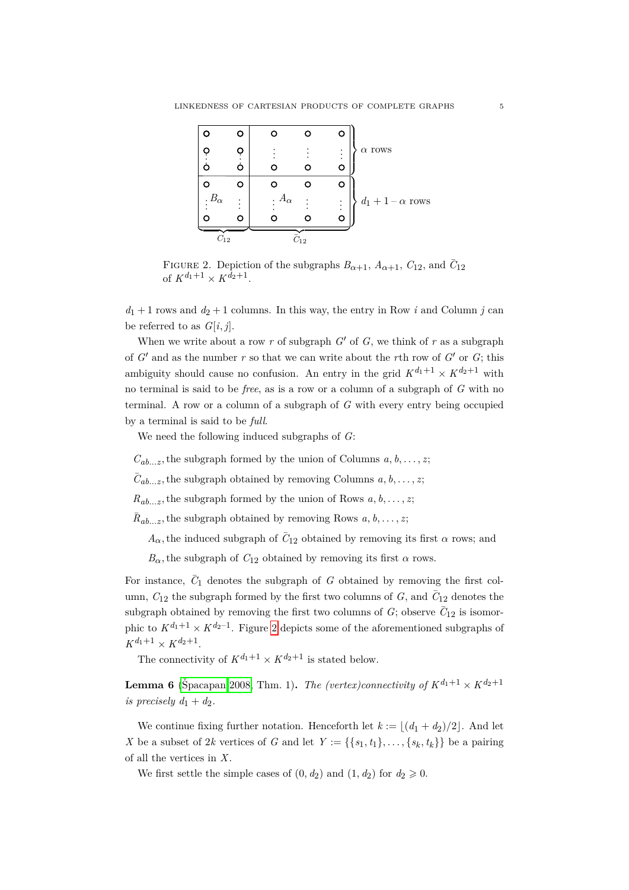|                              |   |                           |                        | o        |                     |
|------------------------------|---|---------------------------|------------------------|----------|---------------------|
|                              | Ò |                           |                        | $\vdots$ | $\alpha$ rows       |
|                              |   |                           |                        | റ        |                     |
|                              |   |                           |                        | o        |                     |
| $\cdot$ $\cdot$ $B_{\alpha}$ |   | $A_{\alpha}$<br>$\bullet$ |                        | $\vdots$ | $d_1+1-\alpha$ rows |
|                              |   |                           |                        | О        |                     |
| $\scriptstyle C_{12}$        |   |                           | $\scriptstyle{C_{12}}$ |          |                     |

<span id="page-4-0"></span>FIGURE 2. Depiction of the subgraphs  $B_{\alpha+1}$ ,  $A_{\alpha+1}$ ,  $C_{12}$ , and  $\overline{C}_{12}$ of  $K^{d_1+1} \times K^{d_2+1}$ .

 $d_1 + 1$  rows and  $d_2 + 1$  columns. In this way, the entry in Row *i* and Column *j* can be referred to as  $G[i, j]$ .

When we write about a row  $r$  of subgraph  $G'$  of  $G$ , we think of  $r$  as a subgraph of  $G'$  and as the number  $r$  so that we can write about the  $r$ th row of  $G'$  or  $G$ ; this ambiguity should cause no confusion. An entry in the grid  $K^{d_1+1} \times K^{d_2+1}$  with no terminal is said to be *free*, as is a row or a column of a subgraph of *G* with no terminal. A row or a column of a subgraph of *G* with every entry being occupied by a terminal is said to be *full*.

We need the following induced subgraphs of *G*:

 $C_{ab...z}$ , the subgraph formed by the union of Columns  $a, b, \ldots, z;$ 

 $\bar{C}_{ab...z}$ , the subgraph obtained by removing Columns  $a, b, \ldots, z;$ 

 $R_{ab...z}$ , the subgraph formed by the union of Rows  $a, b, \ldots, z$ ;

 $\bar{R}_{ab...z}$ , the subgraph obtained by removing Rows  $a, b, \ldots, z$ ;

 $A_{\alpha}$ , the induced subgraph of  $\bar{C}_{12}$  obtained by removing its first  $\alpha$  rows; and

 $B_{\alpha}$ , the subgraph of  $C_{12}$  obtained by removing its first  $\alpha$  rows.

For instance,  $\bar{C}_1$  denotes the subgraph of *G* obtained by removing the first column,  $C_{12}$  the subgraph formed by the first two columns of  $G$ , and  $\overline{C}_{12}$  denotes the subgraph obtained by removing the first two columns of  $G$ ; observe  $\overline{C}_{12}$  is isomorphic to  $K^{d_1+1} \times K^{d_2-1}$ . Figure [2](#page-4-0) depicts some of the aforementioned subgraphs of  $K^{d_1+1} \times K^{d_2+1}$ .

The connectivity of  $K^{d_1+1} \times K^{d_2+1}$  is stated below.

<span id="page-4-1"></span>**Lemma 6** (Špacapan 2008, Thm. 1). The (vertex)connectivity of  $K^{d_1+1} \times K^{d_2+1}$ *is precisely*  $d_1 + d_2$ .

We continue fixing further notation. Henceforth let  $k := |(d_1 + d_2)/2|$ . And let *X* be a subset of 2*k* vertices of *G* and let  $Y := \{\{s_1, t_1\}, \ldots, \{s_k, t_k\}\}\)$  be a pairing of all the vertices in *X*.

<span id="page-4-2"></span>We first settle the simple cases of  $(0, d_2)$  and  $(1, d_2)$  for  $d_2 \geq 0$ .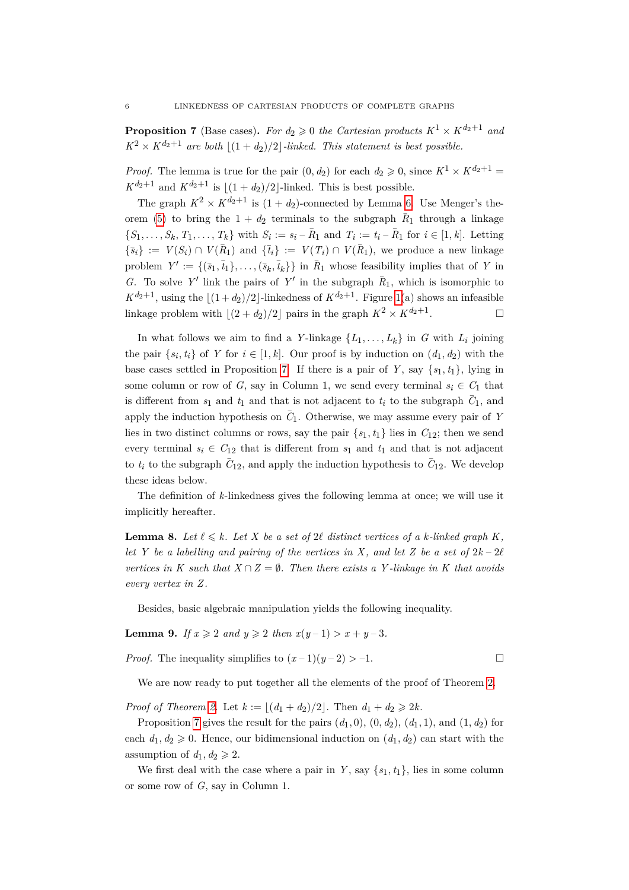**Proposition 7** (Base cases). For  $d_2 \geq 0$  the Cartesian products  $K^1 \times K^{d_2+1}$  and  $K^2 \times K^{d_2+1}$  *are both*  $|(1 + d_2)/2|$ -*linked. This statement is best possible.* 

*Proof.* The lemma is true for the pair  $(0, d_2)$  for each  $d_2 \geq 0$ , since  $K^1 \times K^{d_2+1}$  $K^{d_2+1}$  and  $K^{d_2+1}$  is  $|(1 + d_2)/2|$ -linked. This is best possible.

The graph  $K^2 \times K^{d_2+1}$  is  $(1 + d_2)$ -connected by Lemma [6.](#page-4-1) Use Menger's the-orem [\(5\)](#page-3-1) to bring the  $1 + d_2$  terminals to the subgraph  $R_1$  through a linkage  $\{S_1,\ldots,S_k,\,T_1,\ldots,T_k\}$  with  $S_i := s_i - \bar{R}_1$  and  $T_i := t_i - \bar{R}_1$  for  $i \in [1,k]$ . Letting  $\{\bar{s}_i\} := V(S_i) \cap V(\bar{R}_1)$  and  $\{\bar{t}_i\} := V(T_i) \cap V(\bar{R}_1)$ , we produce a new linkage problem  $Y' := \{(\bar{s}_1, \bar{t}_1), \ldots, (\bar{s}_k, \bar{t}_k)\}\$ in  $\bar{R}_1$  whose feasibility implies that of *Y* in *G*. To solve *Y'* link the pairs of *Y'* in the subgraph  $\bar{R}_1$ , which is isomorphic to  $K^{d_2+1}$ , using the  $|(1 + d_2)/2|$ -linkedness of  $K^{d_2+1}$ . Figure [1\(](#page-3-0)a) shows an infeasible linkage problem with  $\lfloor (2 + d_2)/2 \rfloor$  pairs in the graph  $K^2 \times K^{d_2+1}$ . . — Первый просто просто просто просто просто просто просто просто просто просто просто просто просто просто п<br>В 1990 году стала просто просто просто просто просто просто просто просто просто просто просто просто просто п

In what follows we aim to find a *Y*-linkage  $\{L_1, \ldots, L_k\}$  in *G* with  $L_i$  joining the pair  $\{s_i, t_i\}$  of *Y* for  $i \in [1, k]$ . Our proof is by induction on  $(d_1, d_2)$  with the base cases settled in Proposition [7.](#page-4-2) If there is a pair of  $Y$ , say  $\{s_1, t_1\}$ , lying in some column or row of *G*, say in Column 1, we send every terminal  $s_i \in C_1$  that is different from  $s_1$  and  $t_1$  and that is not adjacent to  $t_i$  to the subgraph  $\bar{C}_1$ , and apply the induction hypothesis on  $\overline{C}_1$ . Otherwise, we may assume every pair of *Y* lies in two distinct columns or rows, say the pair  $\{s_1, t_1\}$  lies in  $C_{12}$ ; then we send every terminal  $s_i \in C_{12}$  that is different from  $s_1$  and  $t_1$  and that is not adjacent to  $t_i$  to the subgraph  $\bar{C}_{12}$ , and apply the induction hypothesis to  $\bar{C}_{12}$ . We develop these ideas below.

The definition of *k*-linkedness gives the following lemma at once; we will use it implicitly hereafter.

**Lemma 8.** Let  $\ell \leq k$ . Let X be a set of 2 $\ell$  distinct vertices of a k-linked graph K, *let Y be a labelling and pairing of the vertices in X, and let Z be a set of*  $2k-2\ell$ *vertices in* K such that  $X \cap Z = \emptyset$ . Then there exists a Y-linkage in K that avoids *every vertex in Z .*

Besides, basic algebraic manipulation yields the following inequality.

<span id="page-5-0"></span>**Lemma 9.** *If*  $x \ge 2$  *and*  $y \ge 2$  *then*  $x(y-1) > x+y-3$ *.* 

*Proof.* The inequality simplifies to  $(x-1)(y-2) > -1$ .

We are now ready to put together all the elements of the proof of Theorem [2.](#page-2-0)

*Proof of Theorem [2.](#page-2-0)* Let  $k := \lfloor (d_1 + d_2)/2 \rfloor$ . Then  $d_1 + d_2 \geq 2k$ .

Proposition [7](#page-4-2) gives the result for the pairs  $(d_1, 0), (0, d_2), (d_1, 1),$  and  $(1, d_2)$  for each  $d_1, d_2 \geq 0$ . Hence, our bidimensional induction on  $(d_1, d_2)$  can start with the assumption of  $d_1, d_2 \geq 2$ .

We first deal with the case where a pair in *Y*, say  $\{s_1, t_1\}$ , lies in some column or some row of *G*, say in Column 1.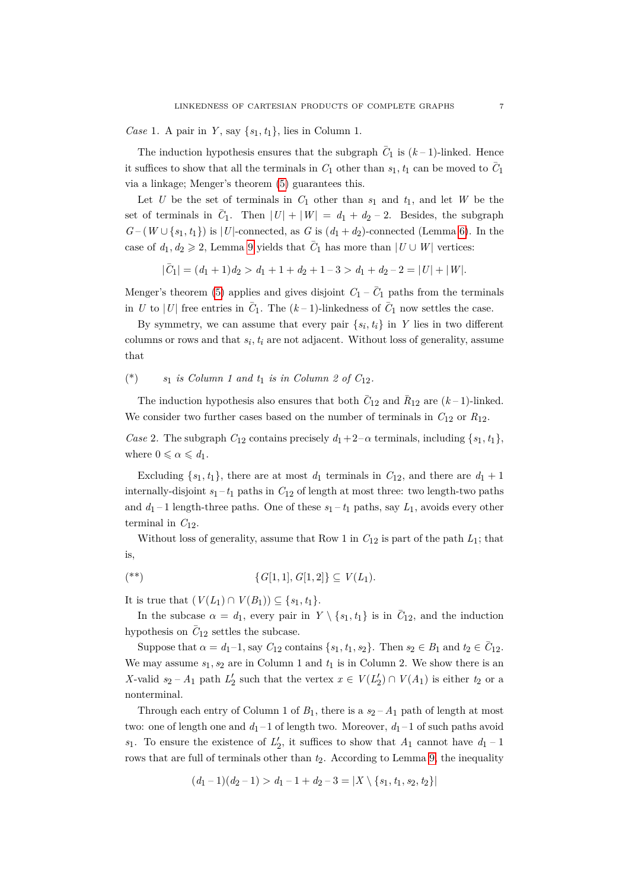*Case* 1*.* A pair in *Y* , say {*s*1, *t*1}, lies in Column 1.

The induction hypothesis ensures that the subgraph  $\bar{C}_1$  is  $(k-1)$ -linked. Hence it suffices to show that all the terminals in  $C_1$  other than  $s_1, t_1$  can be moved to  $\overline{C_1}$ via a linkage; Menger's theorem [\(5\)](#page-3-1) guarantees this.

Let  $U$  be the set of terminals in  $C_1$  other than  $s_1$  and  $t_1$ , and let  $W$  be the set of terminals in  $\overline{C_1}$ . Then  $|U| + |W| = d_1 + d_2 - 2$ . Besides, the subgraph  $G-(W\cup\{s_1,t_1\})$  is |*U*|-connected, as *G* is  $(d_1+d_2)$ -connected (Lemma [6\)](#page-4-1). In the case of  $d_1, d_2 \ge 2$ , Lemma [9](#page-5-0) yields that  $\overline{C_1}$  has more than  $|U \cup W|$  vertices:

$$
|\bar{C}_1| = (d_1 + 1)d_2 > d_1 + 1 + d_2 + 1 - 3 > d_1 + d_2 - 2 = |U| + |W|.
$$

Menger's theorem [\(5\)](#page-3-1) applies and gives disjoint  $C_1 - \overline{C}_1$  paths from the terminals in *U* to |*U*| free entries in  $\bar{C}_1$ . The  $(k-1)$ -linkedness of  $\bar{C}_1$  now settles the case.

By symmetry, we can assume that every pair  $\{s_i, t_i\}$  in *Y* lies in two different columns or rows and that  $s_i$ ,  $t_i$  are not adjacent. Without loss of generality, assume that

(\*)  $s_1$  *is Column 1 and t<sub>1</sub> <i>is in Column 2 of C*<sub>12</sub>*.* 

The induction hypothesis also ensures that both  $\bar{C}_{12}$  and  $\bar{R}_{12}$  are  $(k-1)$ -linked. We consider two further cases based on the number of terminals in  $C_{12}$  or  $R_{12}$ .

<span id="page-6-0"></span>*Case* 2. The subgraph  $C_{12}$  contains precisely  $d_1+2-\alpha$  terminals, including  $\{s_1, t_1\}$ , where  $0 \leq \alpha \leq d_1$ .

Excluding  $\{s_1, t_1\}$ , there are at most  $d_1$  terminals in  $C_{12}$ , and there are  $d_1 + 1$ internally-disjoint  $s_1 - t_1$  paths in  $C_{12}$  of length at most three: two length-two paths and  $d_1 - 1$  length-three paths. One of these  $s_1 - t_1$  paths, say  $L_1$ , avoids every other terminal in  $C_{12}$ .

Without loss of generality, assume that Row 1 in  $C_{12}$  is part of the path  $L_1$ ; that is,

<span id="page-6-1"></span>
$$
(**) \qquad \{G[1,1], G[1,2]\} \subseteq V(L_1).
$$

It is true that  $(V(L_1) ∩ V(B_1)) ⊆ \{s_1, t_1\}.$ 

In the subcase  $\alpha = d_1$ , every pair in  $Y \setminus \{s_1, t_1\}$  is in  $\overline{C}_{12}$ , and the induction hypothesis on  $\bar{C}_{12}$  settles the subcase.

Suppose that  $\alpha = d_1 - 1$ , say  $C_{12}$  contains  $\{s_1, t_1, s_2\}$ . Then  $s_2 \in B_1$  and  $t_2 \in \overline{C}_{12}$ . We may assume  $s_1, s_2$  are in Column 1 and  $t_1$  is in Column 2. We show there is an *X*-valid  $s_2 - A_1$  path  $L'_2$  such that the vertex  $x \in V(L'_2) \cap V(A_1)$  is either  $t_2$  or a nonterminal.

Through each entry of Column 1 of  $B_1$ , there is a  $s_2 - A_1$  path of length at most two: one of length one and  $d_1 - 1$  of length two. Moreover,  $d_1 - 1$  of such paths avoid *s*<sub>1</sub>. To ensure the existence of  $L'_2$ , it suffices to show that  $A_1$  cannot have  $d_1 - 1$ rows that are full of terminals other than  $t_2$ . According to Lemma [9,](#page-5-0) the inequality

$$
(d_1-1)(d_2-1) > d_1-1+d_2-3 = |X \setminus \{s_1, t_1, s_2, t_2\}|
$$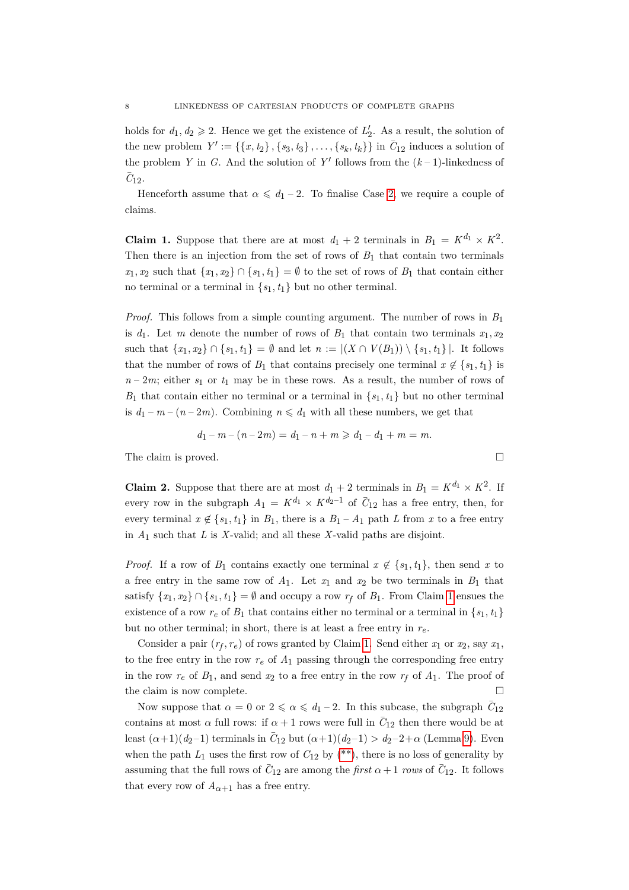holds for  $d_1, d_2 \geqslant 2$ . Hence we get the existence of  $L'_2$ . As a result, the solution of the new problem  $Y' := \{\{x, t_2\}, \{s_3, t_3\}, \ldots, \{s_k, t_k\}\}\$ in  $\bar{C}_{12}$  induces a solution of the problem *Y* in *G*. And the solution of  $Y'$  follows from the  $(k-1)$ -linkedness of  $\overline{C}_{12}$ .

Henceforth assume that  $\alpha \leq d_1 - 2$ . To finalise Case [2,](#page-6-0) we require a couple of claims.

<span id="page-7-0"></span>**Claim 1.** Suppose that there are at most  $d_1 + 2$  terminals in  $B_1 = K^{d_1} \times K^2$ . Then there is an injection from the set of rows of  $B_1$  that contain two terminals  $x_1, x_2$  such that  $\{x_1, x_2\} \cap \{s_1, t_1\} = \emptyset$  to the set of rows of  $B_1$  that contain either no terminal or a terminal in  $\{s_1, t_1\}$  but no other terminal.

*Proof.* This follows from a simple counting argument. The number of rows in *B*1 is  $d_1$ . Let *m* denote the number of rows of  $B_1$  that contain two terminals  $x_1, x_2$ such that  $\{x_1, x_2\} \cap \{s_1, t_1\} = \emptyset$  and let  $n := |(X \cap V(B_1)) \setminus \{s_1, t_1\}|$ . It follows that the number of rows of  $B_1$  that contains precisely one terminal  $x \notin \{s_1, t_1\}$  is  $n-2m$ ; either  $s_1$  or  $t_1$  may be in these rows. As a result, the number of rows of *B*<sub>1</sub> that contain either no terminal or a terminal in  $\{s_1, t_1\}$  but no other terminal is  $d_1 - m - (n - 2m)$ . Combining  $n \le d_1$  with all these numbers, we get that

$$
d_1 - m - (n - 2m) = d_1 - n + m \geq d_1 - d_1 + m = m.
$$

<span id="page-7-1"></span>The claim is proved.

**Claim 2.** Suppose that there are at most  $d_1 + 2$  terminals in  $B_1 = K^{d_1} \times K^2$ . If every row in the subgraph  $A_1 = K^{d_1} \times K^{d_2-1}$  of  $\overline{C}_{12}$  has a free entry, then, for every terminal  $x \notin \{s_1, t_1\}$  in  $B_1$ , there is a  $B_1 - A_1$  path *L* from *x* to a free entry in *A*1 such that *L* is *X*-valid; and all these *X*-valid paths are disjoint.

*Proof.* If a row of  $B_1$  contains exactly one terminal  $x \notin \{s_1, t_1\}$ , then send *x* to a free entry in the same row of *A*1. Let *x*1 and *x*2 be two terminals in *B*1 that satisfy  $\{x_1, x_2\} \cap \{s_1, t_1\} = \emptyset$  and occupy a row  $r_f$  of  $B_1$ . From Claim [1](#page-7-0) ensues the existence of a row  $r_e$  of  $B_1$  that contains either no terminal or a terminal in  $\{s_1, t_1\}$ but no other terminal; in short, there is at least a free entry in *re*.

Consider a pair  $(r_f, r_e)$  of rows granted by Claim [1.](#page-7-0) Send either  $x_1$  or  $x_2$ , say  $x_1$ , to the free entry in the row  $r_e$  of  $A_1$  passing through the corresponding free entry in the row  $r_e$  of  $B_1$ , and send  $x_2$  to a free entry in the row  $r_f$  of  $A_1$ . The proof of the claim is now complete.

Now suppose that  $\alpha = 0$  or  $2 \leq \alpha \leq d_1 - 2$ . In this subcase, the subgraph  $\bar{C}_{12}$ contains at most  $\alpha$  full rows: if  $\alpha + 1$  rows were full in  $\overline{C}_{12}$  then there would be at least  $(\alpha+1)(d_2-1)$  terminals in  $\bar{C}_{12}$  but  $(\alpha+1)(d_2-1) > d_2-2+\alpha$  (Lemma [9\)](#page-5-0). Even when the path  $L_1$  uses the first row of  $C_{12}$  by [\(\\*\\*\)](#page-6-1), there is no loss of generality by assuming that the full rows of  $\bar{C}_{12}$  are among the *first*  $\alpha + 1$  *rows* of  $\bar{C}_{12}$ . It follows that every row of  $A_{\alpha+1}$  has a free entry.

$$
\Box
$$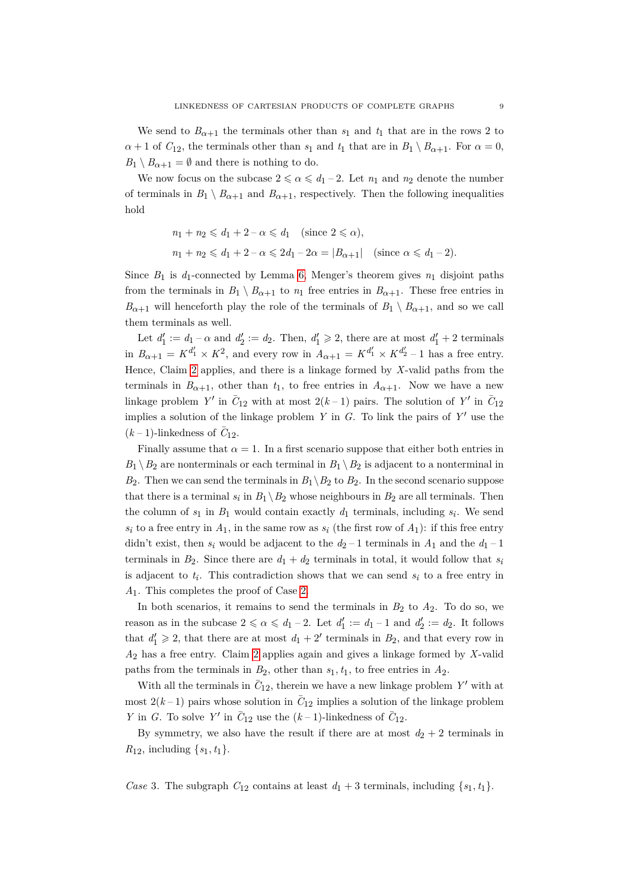We send to  $B_{\alpha+1}$  the terminals other than  $s_1$  and  $t_1$  that are in the rows 2 to  $\alpha + 1$  of  $C_{12}$ , the terminals other than  $s_1$  and  $t_1$  that are in  $B_1 \setminus B_{\alpha+1}$ . For  $\alpha = 0$ ,  $B_1 \setminus B_{\alpha+1} = \emptyset$  and there is nothing to do.

We now focus on the subcase  $2 \le \alpha \le d_1 - 2$ . Let  $n_1$  and  $n_2$  denote the number of terminals in  $B_1 \setminus B_{\alpha+1}$  and  $B_{\alpha+1}$ , respectively. Then the following inequalities hold

$$
n_1 + n_2 \leq d_1 + 2 - \alpha \leq d_1 \quad \text{(since } 2 \leq \alpha\text{)},
$$
  

$$
n_1 + n_2 \leq d_1 + 2 - \alpha \leq 2d_1 - 2\alpha = |B_{\alpha+1}| \quad \text{(since } \alpha \leq d_1 - 2\text{)}.
$$

Since  $B_1$  is  $d_1$ -connected by Lemma [6,](#page-4-1) Menger's theorem gives  $n_1$  disjoint paths from the terminals in  $B_1 \setminus B_{\alpha+1}$  to  $n_1$  free entries in  $B_{\alpha+1}$ . These free entries in  $B_{\alpha+1}$  will henceforth play the role of the terminals of  $B_1 \setminus B_{\alpha+1}$ , and so we call them terminals as well.

Let  $d'_1 := d_1 - \alpha$  and  $d'_2 := d_2$ . Then,  $d'_1 \geq 2$ , there are at most  $d'_1 + 2$  terminals in  $B_{\alpha+1} = K^{d'_1} \times K^2$ , and every row in  $A_{\alpha+1} = K^{d'_1} \times K^{d'_2} - 1$  has a free entry. Hence, Claim [2](#page-7-1) applies, and there is a linkage formed by *X*-valid paths from the terminals in  $B_{\alpha+1}$ , other than  $t_1$ , to free entries in  $A_{\alpha+1}$ . Now we have a new linkage problem Y' in  $\bar{C}_{12}$  with at most  $2(k-1)$  pairs. The solution of Y' in  $\bar{C}_{12}$ implies a solution of the linkage problem *Y* in *G*. To link the pairs of  $Y'$  use the  $(k-1)$ -linkedness of  $\overline{C}_{12}$ .

Finally assume that  $\alpha = 1$ . In a first scenario suppose that either both entries in  $B_1 \setminus B_2$  are nonterminals or each terminal in  $B_1 \setminus B_2$  is adjacent to a nonterminal in  $B_2$ . Then we can send the terminals in  $B_1 \backslash B_2$  to  $B_2$ . In the second scenario suppose that there is a terminal  $s_i$  in  $B_1 \setminus B_2$  whose neighbours in  $B_2$  are all terminals. Then the column of  $s_1$  in  $B_1$  would contain exactly  $d_1$  terminals, including  $s_i$ . We send  $s_i$  to a free entry in  $A_1$ , in the same row as  $s_i$  (the first row of  $A_1$ ): if this free entry didn't exist, then  $s_i$  would be adjacent to the  $d_2 - 1$  terminals in  $A_1$  and the  $d_1 - 1$ terminals in  $B_2$ . Since there are  $d_1 + d_2$  terminals in total, it would follow that  $s_i$ is adjacent to *ti* . This contradiction shows that we can send *si* to a free entry in *A*1. This completes the proof of Case [2.](#page-6-0)

In both scenarios, it remains to send the terminals in  $B_2$  to  $A_2$ . To do so, we reason as in the subcase  $2 \le \alpha \le d_1 - 2$ . Let  $d'_1 := d_1 - 1$  and  $d'_2 := d_2$ . It follows that  $d'_1 \geq 2$ , that there are at most  $d_1 + 2'$  terminals in  $B_2$ , and that every row in *A*2 has a free entry. Claim [2](#page-7-1) applies again and gives a linkage formed by *X*-valid paths from the terminals in  $B_2$ , other than  $s_1, t_1$ , to free entries in  $A_2$ .

With all the terminals in  $\bar{C}_{12}$ , therein we have a new linkage problem Y' with at most  $2(k-1)$  pairs whose solution in  $\bar{C}_{12}$  implies a solution of the linkage problem *Y* in *G*. To solve *Y'* in  $\overline{C}_{12}$  use the  $(k-1)$ -linkedness of  $\overline{C}_{12}$ .

By symmetry, we also have the result if there are at most  $d_2 + 2$  terminals in *R*<sub>12</sub>, including  $\{s_1, t_1\}$ .

*Case* 3. The subgraph  $C_{12}$  contains at least  $d_1 + 3$  terminals, including  $\{s_1, t_1\}$ .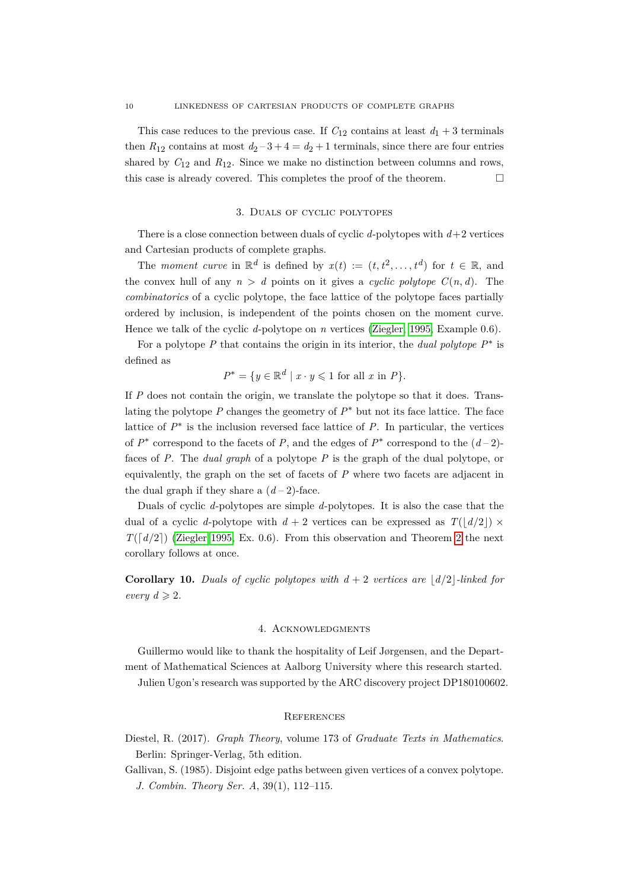This case reduces to the previous case. If  $C_{12}$  contains at least  $d_1 + 3$  terminals then  $R_{12}$  contains at most  $d_2 - 3 + 4 = d_2 + 1$  terminals, since there are four entries shared by  $C_{12}$  and  $R_{12}$ . Since we make no distinction between columns and rows, this case is already covered. This completes the proof of the theorem.  $\Box$ 

#### 3. Duals of cyclic polytopes

There is a close connection between duals of cyclic *d*-polytopes with *d*+2 vertices and Cartesian products of complete graphs.

The *moment curve* in  $\mathbb{R}^d$  is defined by  $x(t) := (t, t^2, \ldots, t^d)$  for  $t \in \mathbb{R}$ , and the convex hull of any  $n > d$  points on it gives a *cyclic polytope*  $C(n, d)$ . The *combinatorics* of a cyclic polytope, the face lattice of the polytope faces partially ordered by inclusion, is independent of the points chosen on the moment curve. Hence we talk of the cyclic *d*-polytope on *n* vertices [\(Ziegler, 1995,](#page-10-2) Example 0.6).

For a polytope *P* that contains the origin in its interior, the *dual polytope P*<sup>∗</sup> is defined as

$$
P^* = \{ y \in \mathbb{R}^d \mid x \cdot y \leq 1 \text{ for all } x \text{ in } P \}.
$$

If *P* does not contain the origin, we translate the polytope so that it does. Translating the polytope  $P$  changes the geometry of  $P^*$  but not its face lattice. The face lattice of  $P^*$  is the inclusion reversed face lattice of  $P$ . In particular, the vertices of  $P^*$  correspond to the facets of  $P$ , and the edges of  $P^*$  correspond to the  $(d-2)$ faces of *P*. The *dual graph* of a polytope *P* is the graph of the dual polytope, or equivalently, the graph on the set of facets of *P* where two facets are adjacent in the dual graph if they share a  $(d-2)$ -face.

Duals of cyclic *d*-polytopes are simple *d*-polytopes. It is also the case that the dual of a cyclic *d*-polytope with  $d + 2$  vertices can be expressed as  $T(|d/2|) \times$  $T([d/2])$  [\(Ziegler 1995,](#page-10-2) Ex. 0.6). From this observation and Theorem [2](#page-2-0) the next corollary follows at once.

**Corollary 10.** *Duals of cyclic polytopes with*  $d + 2$  *vertices are*  $\lfloor d/2 \rfloor$ *-linked for every*  $d \geqslant 2$ *.* 

## 4. Acknowledgments

Guillermo would like to thank the hospitality of Leif Jørgensen, and the Department of Mathematical Sciences at Aalborg University where this research started.

Julien Ugon's research was supported by the ARC discovery project DP180100602.

### **REFERENCES**

- <span id="page-9-1"></span>Diestel, R. (2017). *Graph Theory*, volume 173 of *Graduate Texts in Mathematics*. Berlin: Springer-Verlag, 5th edition.
- <span id="page-9-0"></span>Gallivan, S. (1985). Disjoint edge paths between given vertices of a convex polytope. *J. Combin. Theory Ser. A*, 39(1), 112–115.